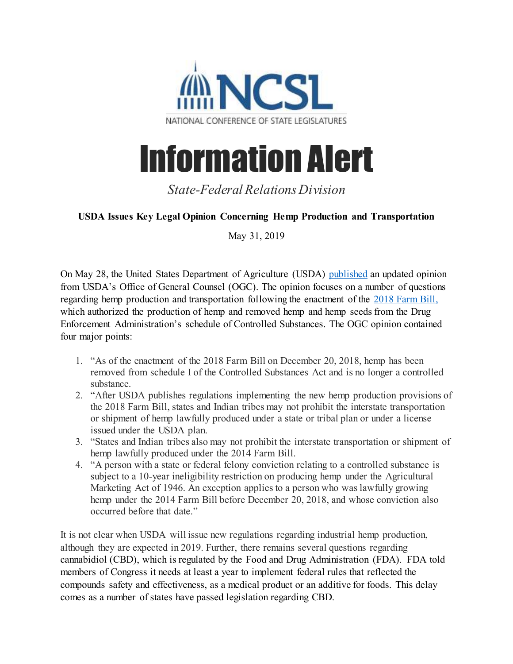

## Information Alert

*State-Federal Relations Division*

## **USDA Issues Key Legal Opinion Concerning Hemp Production and Transportation**

May 31, 2019

On May 28, the United States Department of Agriculture (USDA) [published](https://www.ams.usda.gov/content/legal-opinion-authorities-hemp-production) an updated opinion from USDA's Office of General Counsel (OGC). The opinion focuses on a number of questions regarding hemp production and transportation following the enactment of the [2018 Farm Bill,](http://www.ncsl.org/Documents/standcomm/scnri/2018_Farm_Bill_Enactment_25672.pdf) which authorized the production of hemp and removed hemp and hemp seeds from the Drug Enforcement Administration's schedule of Controlled Substances. The OGC opinion contained four major points:

- 1. "As of the enactment of the 2018 Farm Bill on December 20, 2018, hemp has been removed from schedule I of the Controlled Substances Act and is no longer a controlled substance.
- 2. "After USDA publishes regulations implementing the new hemp production provisions of the 2018 Farm Bill, states and Indian tribes may not prohibit the interstate transportation or shipment of hemp lawfully produced under a state or tribal plan or under a license issued under the USDA plan.
- 3. "States and Indian tribes also may not prohibit the interstate transportation or shipment of hemp lawfully produced under the 2014 Farm Bill.
- 4. "A person with a state or federal felony conviction relating to a controlled substance is subject to a 10-year ineligibility restriction on producing hemp under the Agricultural Marketing Act of 1946. An exception applies to a person who was lawfully growing hemp under the 2014 Farm Bill before December 20, 2018, and whose conviction also occurred before that date."

It is not clear when USDA will issue new regulations regarding industrial hemp production, although they are expected in 2019. Further, there remains several questions regarding cannabidiol (CBD), which is regulated by the Food and Drug Administration (FDA). FDA told members of Congress it needs at least a year to implement federal rules that reflected the compounds safety and effectiveness, as a medical product or an additive for foods. This delay comes as a number of states have passed legislation regarding CBD.